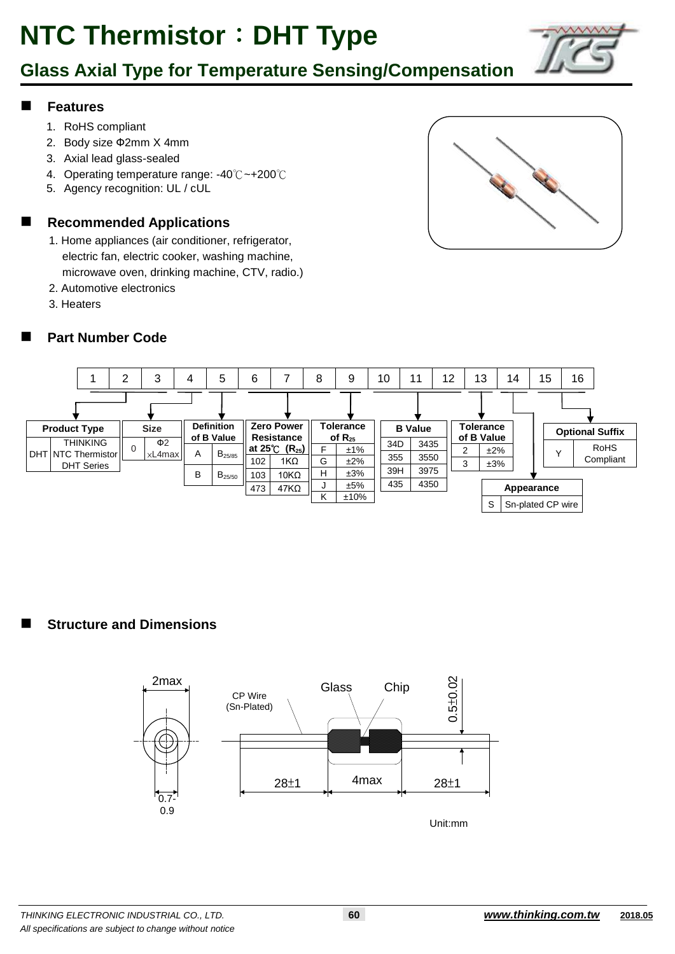## **Glass Axial Type for Temperature Sensing/Compensation**

#### **Features**

- 1. RoHS compliant
- 2. Body size Ф2mm X 4mm
- 3. Axial lead glass-sealed
- 4. Operating temperature range: -40℃~+200℃
- 5. Agency recognition: UL / cUL

#### **Recommended Applications**

- 1. Home appliances (air conditioner, refrigerator, electric fan, electric cooker, washing machine, microwave oven, drinking machine, CTV, radio.)
- 2. Automotive electronics
- 3. Heaters

#### **Part Number Code**





**Structure and Dimensions**

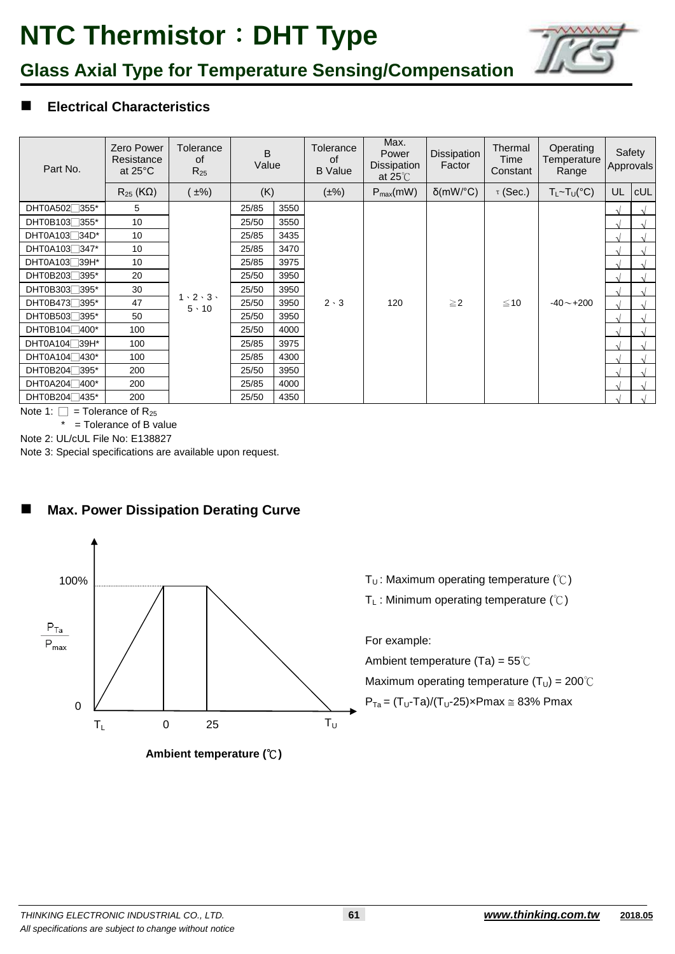

## **Glass Axial Type for Temperature Sensing/Compensation**

#### **Electrical Characteristics**

| Part No.                               | <b>Zero Power</b><br>Resistance<br>at $25^{\circ}$ C | Tolerance<br>0f<br>$R_{25}$               | B<br>Value |      | <b>Tolerance</b><br>0f<br><b>B</b> Value | Max.<br>Power<br>Dissipation<br>at $25^{\circ}$ | Dissipation<br>Factor | Thermal<br>Time<br>Constant | Operating<br>Temperature<br>Range |            | Safety<br><b>Approvals</b> |
|----------------------------------------|------------------------------------------------------|-------------------------------------------|------------|------|------------------------------------------|-------------------------------------------------|-----------------------|-----------------------------|-----------------------------------|------------|----------------------------|
|                                        | $R_{25}$ (KQ)                                        | $\pm\%$                                   | (K)        |      | $(\pm\%)$                                | $P_{max}(mW)$                                   | $\delta$ (mW/°C)      | $\tau$ (Sec.)               | $T_L \sim T_U({}^{\circ}C)$       | UL.        | cUL                        |
| DHT0A502 <sup>7355*</sup>              | 5                                                    |                                           | 25/85      | 3550 | $2 \cdot 3$                              | 120                                             | $\geq$ 2              | ≤10                         | $-40 - +200$                      | $\sim$     |                            |
| DHT0B103 <sup>7355*</sup>              | 10                                                   |                                           | 25/50      | 3550 |                                          |                                                 |                       |                             |                                   | $\sqrt{ }$ |                            |
| DHT0A103 <sup>7</sup> 34D <sup>*</sup> | 10                                                   |                                           | 25/85      | 3435 |                                          |                                                 |                       |                             |                                   | $\sim$     |                            |
| DHT0A103 <sup>7</sup>                  | 10                                                   |                                           | 25/85      | 3470 |                                          |                                                 |                       |                             |                                   | $\sqrt{ }$ |                            |
| DHT0A103 <sup>739H*</sup>              | 10                                                   | $1 \cdot 2 \cdot 3 \cdot$<br>$5 \cdot 10$ | 25/85      | 3975 |                                          |                                                 |                       |                             |                                   | $\sqrt{ }$ |                            |
| DHT0B203 <sup>7395*</sup>              | 20                                                   |                                           | 25/50      | 3950 |                                          |                                                 |                       |                             |                                   | $\Delta$   |                            |
| DHT0B3037395*                          | 30                                                   |                                           | 25/50      | 3950 |                                          |                                                 |                       |                             |                                   | $\sim$     |                            |
| DHT0B473 <sup>7</sup> 395*             | 47                                                   |                                           | 25/50      | 3950 |                                          |                                                 |                       |                             |                                   | $\sqrt{ }$ |                            |
| DHT0B5037395*                          | 50                                                   |                                           | 25/50      | 3950 |                                          |                                                 |                       |                             |                                   | $\sqrt{ }$ |                            |
| DHT0B104 <sup>1</sup> 400*             | 100                                                  |                                           | 25/50      | 4000 |                                          |                                                 |                       |                             |                                   | $\sim$     |                            |
| DHT0A104 <sup>739H*</sup>              | 100                                                  |                                           | 25/85      | 3975 |                                          |                                                 |                       |                             |                                   | $\Delta$   |                            |
| DHT0A104 <sup>7430*</sup>              | 100                                                  |                                           | 25/85      | 4300 |                                          |                                                 |                       |                             |                                   |            |                            |
| DHT0B204 <sup>7395*</sup>              | 200                                                  |                                           | 25/50      | 3950 |                                          |                                                 |                       |                             |                                   | $\Delta$   |                            |
| DHT0A204□400*                          | 200                                                  |                                           | 25/85      | 4000 |                                          |                                                 |                       |                             |                                   | $\Delta$   |                            |
| DHT0B204 <sup>1</sup> 435*             | 200                                                  |                                           | 25/50      | 4350 |                                          |                                                 |                       |                             |                                   |            |                            |

Note 1:  $\Box$  = Tolerance of R<sub>25</sub>

 $*$  = Tolerance of B value

Note 2: UL/cUL File No: E138827

Note 3: Special specifications are available upon request.

### **Max. Power Dissipation Derating Curve**



**Ambient temperature (**℃**)**

- T<sub>U</sub>: Maximum operating temperature (°C)
- T<sub>L</sub>: Minimum operating temperature ( $°C$ )

For example:

Ambient temperature (Ta) = 55℃

Maximum operating temperature ( $T_U$ ) = 200°C

 $P_{Ta} = (T_U-Ta)/(T_U-25) \times Pmax \approx 83\% Pmax$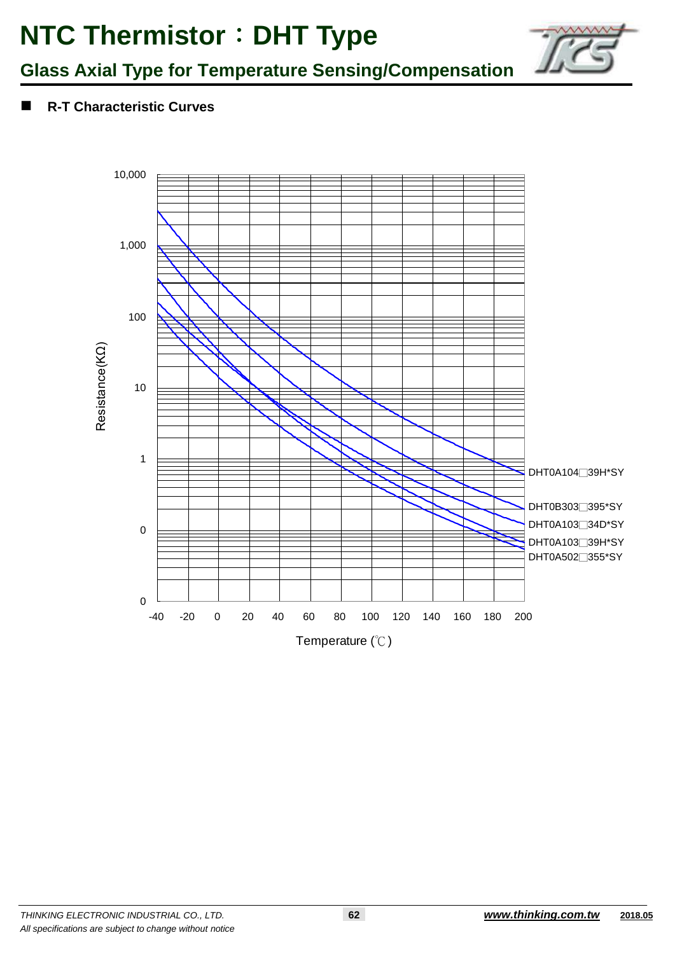

## **Glass Axial Type for Temperature Sensing/Compensation**

**R-T Characteristic Curves**

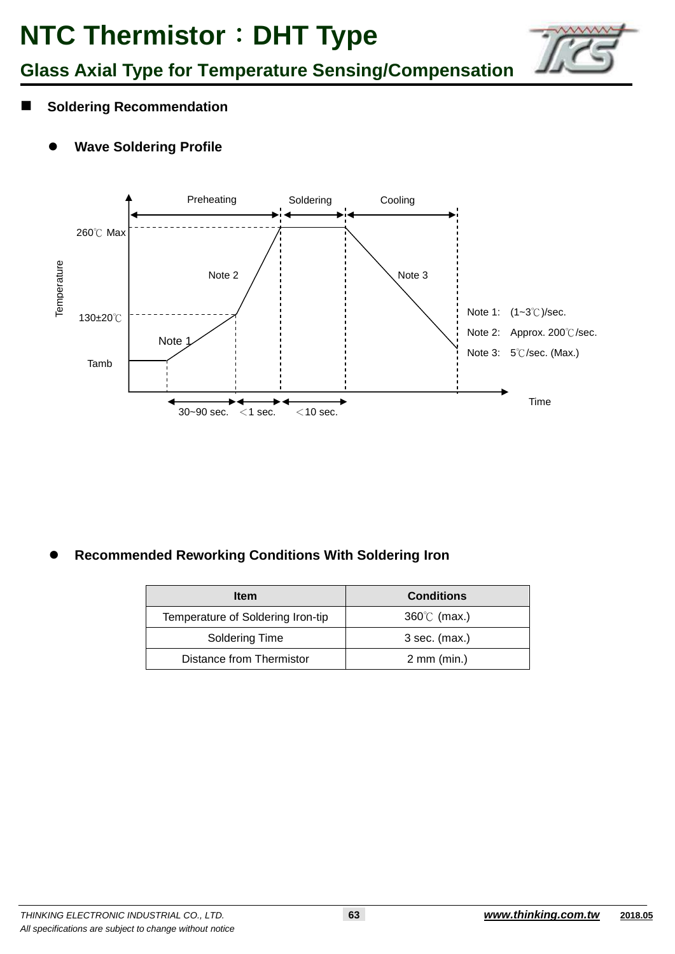![](_page_3_Picture_1.jpeg)

**Glass Axial Type for Temperature Sensing/Compensation**

- **Soldering Recommendation**
	- **Wave Soldering Profile**

![](_page_3_Figure_5.jpeg)

**Recommended Reworking Conditions With Soldering Iron**

| Item                              | <b>Conditions</b>       |
|-----------------------------------|-------------------------|
| Temperature of Soldering Iron-tip | $360^{\circ}$ (max.)    |
| Soldering Time                    | $3$ sec. (max.)         |
| Distance from Thermistor          | $2 \, \text{mm}$ (min.) |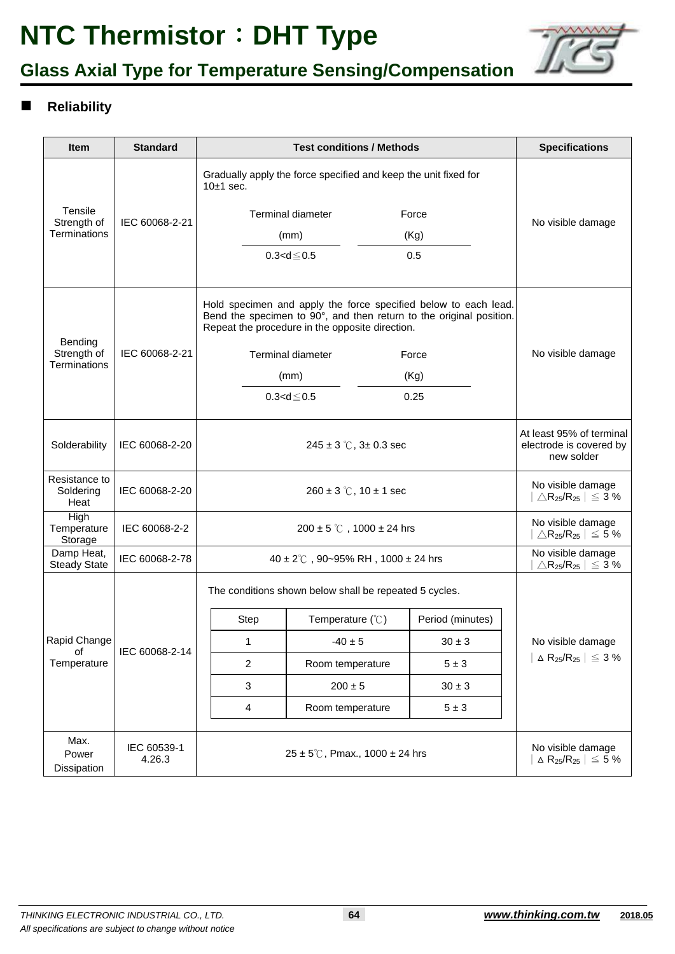![](_page_4_Picture_1.jpeg)

## **Glass Axial Type for Temperature Sensing/Compensation**

### **Reliability**

| <b>Item</b>                                   | <b>Standard</b>       |                                                                                                                                                                                           | <b>Specifications</b>                                                           |                  |                                                                          |  |  |
|-----------------------------------------------|-----------------------|-------------------------------------------------------------------------------------------------------------------------------------------------------------------------------------------|---------------------------------------------------------------------------------|------------------|--------------------------------------------------------------------------|--|--|
|                                               | IEC 60068-2-21        | Gradually apply the force specified and keep the unit fixed for<br>$10±1$ sec.                                                                                                            |                                                                                 |                  |                                                                          |  |  |
| Tensile<br>Strength of<br><b>Terminations</b> |                       | <b>Terminal diameter</b><br>Force                                                                                                                                                         |                                                                                 |                  | No visible damage                                                        |  |  |
|                                               |                       |                                                                                                                                                                                           | (Kg)<br>(mm)                                                                    |                  |                                                                          |  |  |
|                                               |                       |                                                                                                                                                                                           | $0.3 < d \le 0.5$                                                               | 0.5              |                                                                          |  |  |
| Bending<br>Strength of                        | IEC 60068-2-21        | Hold specimen and apply the force specified below to each lead.<br>Bend the specimen to 90°, and then return to the original position.<br>Repeat the procedure in the opposite direction. |                                                                                 |                  |                                                                          |  |  |
|                                               |                       |                                                                                                                                                                                           | Terminal diameter                                                               | Force            | No visible damage                                                        |  |  |
| <b>Terminations</b>                           |                       |                                                                                                                                                                                           | (mm)<br>(Kg)                                                                    |                  |                                                                          |  |  |
|                                               |                       |                                                                                                                                                                                           | $0.3 < d \le 0.5$                                                               | 0.25             |                                                                          |  |  |
| Solderability                                 | IEC 60068-2-20        |                                                                                                                                                                                           | At least 95% of terminal<br>electrode is covered by<br>new solder               |                  |                                                                          |  |  |
| Resistance to<br>Soldering<br>Heat            | IEC 60068-2-20        |                                                                                                                                                                                           | No visible damage<br>$\triangle$ R <sub>25</sub> /R <sub>25</sub>   $\leq$ 3 %  |                  |                                                                          |  |  |
| High<br>Temperature<br>Storage                | IEC 60068-2-2         |                                                                                                                                                                                           | No visible damage<br>$\triangle$ R <sub>25</sub> /R <sub>25</sub>   $\leq$ 5 %  |                  |                                                                          |  |  |
| Damp Heat,<br><b>Steady State</b>             | IEC 60068-2-78        | $40 \pm 2^{\circ}$ C, 90~95% RH, 1000 ± 24 hrs                                                                                                                                            | No visible damage<br>$\triangle$ R <sub>25</sub> /R <sub>25</sub>   $\leq 3\%$  |                  |                                                                          |  |  |
| Rapid Change<br>of<br>Temperature             | IEC 60068-2-14        | The conditions shown below shall be repeated 5 cycles.                                                                                                                                    |                                                                                 |                  |                                                                          |  |  |
|                                               |                       | Step                                                                                                                                                                                      | Temperature $(^\circ \mathcal{C})$                                              | Period (minutes) |                                                                          |  |  |
|                                               |                       | 1                                                                                                                                                                                         | $-40 \pm 5$                                                                     | $30 \pm 3$       | No visible damage                                                        |  |  |
|                                               |                       | $\overline{2}$                                                                                                                                                                            | Room temperature                                                                | $5 \pm 3$        | $\vert$ $\vartriangle$ R <sub>25</sub> /R <sub>25</sub> $\vert \leq 3\%$ |  |  |
|                                               |                       | 3                                                                                                                                                                                         | $200 \pm 5$                                                                     | $30 \pm 3$       |                                                                          |  |  |
|                                               |                       | 4                                                                                                                                                                                         | Room temperature                                                                | $5\pm3$          |                                                                          |  |  |
| Max.<br>Power<br>Dissipation                  | IEC 60539-1<br>4.26.3 | $25 \pm 5^{\circ}$ C, Pmax., 1000 $\pm$ 24 hrs                                                                                                                                            | No visible damage<br>$\Delta$ R <sub>25</sub> /R <sub>25</sub> $\vert \leq 5\%$ |                  |                                                                          |  |  |